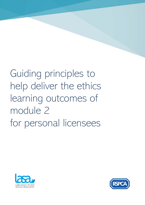# Guiding principles to help deliver the ethics learning outcomes of module 2 for personal licensees



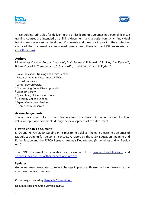



These guiding principles for delivering the ethics learning outcomes in personal licensee training courses are intended as a 'living document' and a basis from which individual training resources can be developed. Comments and ideas for improving the content or clarity of the document are welcomed; please send these to the LASA secretariat at: info@lasa.co.uk.

### **Authors**

M. Jennings<sup>1,2</sup> and M. Berdoy<sup>1,3</sup> (editors), A-M. Farmer<sup>1,4</sup>, P. Hawkins<sup>2</sup>, E. Lilley<sup>1,2</sup>, A. Kerton<sup>1,5</sup>, B. Law<sup>1,6</sup>, Jordi L. Tremoleda <sup>1,7</sup>, C. Stanford<sup>1,8</sup>, L. Whitfield<sup>1,9</sup>, and K. Ryder<sup>10</sup>.

- <sup>1</sup> LASA Education, Training and Ethics Section
- <sup>2</sup> Research Animals Department, RSPCA
- <sup>3</sup> Oxford University
- <sup>4</sup> Cambridge University
- <sup>5</sup>The Learning Curve (Development) Ltd
- <sup>6</sup> Leeds University
- <sup>7</sup>Queen Mary University of London
- <sup>8</sup>University College London
- <sup>9</sup> Agenda Veterinary Services
- <sup>10</sup> Home Office observer

### **Acknowledgements**

The authors would like to thank trainers from the three UK training bodies for their valuable input and comments during the development of this document.

### **How to cite this document:**

LASA and RSPCA, 2020. Guiding principles to help deliver the ethics learning outcomes of Module 2 training for personal licensees. A report by the LASA Education, Training and Ethics Section and the RSPCA Research Animals Department. (M. Jennings and M. Berdoy eds.)

The PDF document is available for download from lasa.co.uk/publications and science.rspca.org.uk/-/other-papers-and-articles

### **Updates:**

Guidelines may be updated to reflect changes in practice. Please check on the website that you have the latest version.

Cover image created by Harryarts / Freepik.com

Document design: Chloe Stevens, RSPCA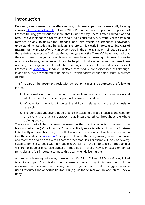# **Introduction**

Delivering - and assessing - the ethics learning outcomes in personal licensee (PIL) training courses (EU functions A and  $B$ <sup>[1]</sup>, Home Office PIL courses) is an important component of licensee training, yet experience shows that this is not easy. There is often limited time and resource available for the course as a whole. As a consequence, current licensee training may not be able to deliver the intended long-term effects on attendees' knowledge, understanding, attitudes and behaviours. Therefore, it is clearly important to find ways of maximising the impact of what can be delivered in the time available. Trainers, particularly those delivering module 2 '*Ethics, Animal Welfare and the Three Rs'*, have reported that they would welcome guidance on how to achieve the ethics learning outcomes. Access to up-to-date training resources would also be helpful. This document aims to address these needs by focussing on the relevant ethics learning outcomes of EU module 2 for personal licensees (see appendix 1; module 2 is also a 'core module' for project licensees although, in addition, they are required to do module 9 which addresses the same issues in greater depth).

The first part of the document deals with general principles and addresses the following points:

- 1. The overall aim of ethics training what each learning outcome should cover and what the overall outcome for personal licensees should be.
- 2. What ethics is, why it is important, and how it relates to the use of animals in research.
- 3. The principles underlying good practice in teaching this topic, such as the need for a relevant and practical approach that integrates ethics throughout the whole training course.

The second part of the document focusses on the practical aspects of delivering the learning outcomes (LOs) of module 2 that specifically relate to ethics. Not all the fourteen LOs directly address this topic; those that relate to the 3Rs, animal welfare or legislation (see those in italics in appendix 1) are practical issues that are generally easier to address, and many can also be dealt with as part of other modules. For example, LO 2.9 on severity classification is also dealt with in module 5; LO 2.11 on 'the importance of good animal welfare for good science' also appears in module 3. They are, however, based on ethical principles and it is important to make this clear when delivering them.

A number of learning outcomes, however (i.e. LOs 2.1. to 2.4 and 2.12), are *directly* linked to ethics and part 2 of this document focuses on these. It highlights how they could be addressed and delivered and the key points to get across, as well as suggesting some useful resources and opportunities for CPD (e.g. via the Animal Welfare and Ethical Review Body).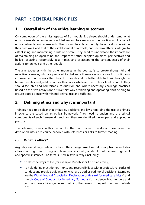# **PART 1: GENERAL PRINCIPLES**

# **1. Overall aim of the ethics learning outcomes**

On completion of the ethics aspects of EU module 2, trainees should understand what ethics is (see definition in section 2 below) and be clear about the practical application of ethical values to animal research. They should be able to identify the ethical issues within their own work and that of the establishment as a whole, and see how ethics is integral to establishing and maintaining a culture of care. They need to understand the importance of maintaining an open mind and respect for other people's opinions, perspectives and beliefs, of acting responsibly at all times, and of accepting the consequences of their actions for animals and other people.

The aim, together with the other modules in the course, is to create thoughtful and reflective licensees, who are prepared to challenge themselves and strive for continuous improvement in the work that they do. They should be better able to think through the harms, benefits and justification for their work whatever their role or level of input. They should feel able and comfortable to question and, where necessary, challenge practices based on the "I've always done it like this" way of thinking and operating, thus helping to ensure good science with minimal animal use and suffering.

# **2. Defining ethics and why it is important**

Trainees need to be clear that attitudes, decisions and laws regarding the use of animals in science are based on an ethical framework. They need to understand the ethical components of such frameworks and how they are identified, developed and applied in practice.

The following points in this section list the main issues to address. These could be developed into a pre-course handout with references or links to further reading.

# **(i) What is ethics?**

Arguably, everything starts with ethics. Ethics is a **system of moral principles** that includes ideas about right and wrong, and how people should, or should not, behave in general and specific instances. The term is used in several ways including:

- to describe ways of life (for example, Buddhist or Christian ethics);
- to help define practitioners' rights and responsibilities within professional codes of conduct and provide guidance on what are good or bad moral decisions. Examples are the World Medical Association Declaration of Helsinki for medical ethics [2] and the UK Code of Conduct for Veterinary Surgeons<sup>[3]</sup>. In science, both funders and journals have ethical guidelines defining the research they will fund and publish [4,5];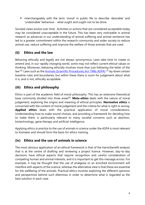• interchangeably with the term 'moral' in public life to describe 'desirable' and 'undesirable' behaviour - what ought and ought not to be done.

Societal views evolve over time. Activities or actions that are considered acceptable today may be considered unacceptable in the future. This has been very noticeable in animal research as advances in our understanding of animal suffering and animal sentience has led to a greater commitment within the research community and wider society to reduce animal use, reduce suffering and improve the welfare of those animals that are used.

# **(ii) Ethics and the law**

Behaving ethically and legally are not always synonymous. Laws take time to create or amend and, in our rapidly changing world, some may not reflect current ethical values or thinking. Moreover, behaving ethically involves more than just following the letter of the law <sup>[6].</sup> Laws such as the Animals (Scientific Procedures) Act 1986 (ASPA)<sup>[7]</sup> lay down certain baseline rules and boundaries, but within these there is room for judgement about what it is, and is not, ethically acceptable.

# **(iii) Ethics and philosophy**

Ethics is part of the academic field of moral philosophy. This has an extensive theoretical base commonly divided into three areas<sup>[8]</sup>. **Meta-ethics** deals with the nature of moral judgement, exploring the origins and meaning of ethical principles. **Normative ethics** is concerned with the content of moral judgement and the criteria for what is right or wrong. **Applied ethics** deals with the practical application of moral considerations. Understanding how to make sound choices, and providing a framework for deciding how to make them, is particularly relevant to many societal concerns such as abortion, biotechnology, gene therapy and artificial intelligence.

Applying ethics *in practice* to the use of animals in science under the ASPA is most relevant to licensees and should form the basis for ethics training.

# **(iv) Ethics and the use of animals in science**

The most obvious application of an ethical framework is that of the harm/benefit analysis that is at the centre of drafting and reviewing a project licence. However, day-to-day decisions have ethical aspects that require recognition and careful consideration of competing human and animal interests, and it is important to get this message across. For example, it may be thought that the use of analgesia or an enriched environment will interfere with aspects of the science, whereas the alternative view is that these are essential for the wellbeing of the animals. Practical ethics involves exploring the different opinions and perspectives behind such dilemmas in order to determine what is regarded as the best solution in each case.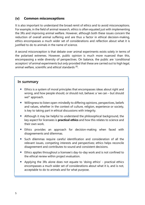## **(v) Common misconceptions**

It is also important to understand the broad remit of ethics and to avoid misconceptions. For example, in the field of animal research, ethics is often equated just with implementing the 3Rs and improving animal welfare. However, although both these issues concern the reduction of overall animal suffering and are thus a factor in ethical decision-making, ethics encompasses a much wider set of considerations and reflection about what it is justified to do to animals in the name of science.

A second misconception is that debate over animal experiments exists solely in terms of the polarised extremes. However, public opinion is much more nuanced than this, encompassing a wide diversity of perspectives. On balance, the public are 'conditional acceptors' of animal experiments but *only* provided that these are carried out to high legal, animal welfare, scientific and *ethical* standards <sup>[9]</sup>.

## **In summary**

- Ethics is a system of moral principles that encompasses ideas about right and wrong, and how people should, or should not, behave: a 'we can – but should we?' approach.
- Willingness to listen open-mindedly to differing opinions, perspectives, beliefs and values, whether in the context of culture, religion, experience or society, is key to taking part in ethical discussions with integrity.
- Although it may be helpful to understand the philosophical background, the key aspect for licensees is **practical ethics** and how this relates to science and their own work.
- Ethics provides an approach for decision-making when faced with disagreements and dilemmas.
- Such dilemmas require careful identification and consideration of all the relevant issues, competing interests and perspectives; ethics helps reconcile disagreement and contributes to sound and consistent decisions.
- Ethics applies throughout a licensee's day-to-day work and is not confined to the ethical review within project evaluation.
- Applying the 3Rs alone does not equate to 'doing ethics' practical ethics encompasses a much wider set of considerations about what it is, and is not, acceptable to do to animals and for what purpose.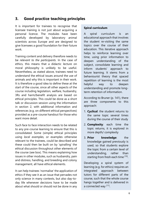# **3. Good practice teaching principles**

It is important for trainees to recognise that licensee training is not just about acquiring a personal licence. The modules have been carefully developed by laboratory animal scientists across Europe and are designed to give licensees a good foundation for their future work.

Training content and delivery therefore needs to be *relevant to the participants*. In the case of ethics, this means that a didactic lecture on moral philosophy is unlikely to be useful. Nevertheless, as stated above, trainees need to understand the ethical issues around the use of animals and why this is important in their work. It is therefore a good idea to define these at the start of the course, since all other aspects of the course including legislation, welfare, husbandry, 3Rs and harm/benefit analysis are based on ethical principles. This could be done as a short talk or discussion session using the information in section 2, with additional information and references (e.g. on different ethical perspectives) provided as a pre-course handout for those who want more detail.

Such face to face interaction needs to be related to any pre-course learning to ensure that this is consolidated. Some (simple) ethical principles using *local examples,* or examples otherwise relevant to the trainees, could be described and these could then be built on by 'spiralling' the ethical discussion throughout other elements of the course (see box). This means explaining how issues in other modules, such as husbandry, pain and distress, handling, and breeding and colony management, all have ethical elements.

It can help trainees 'normalise' the application of ethics if they see it as an issue that pervades not only science in many contexts, but also day-today life whenever decisions have to be made about what should or should not be done in any

### **Spiral curriculum**

A spiral curriculum is an educational approach that involves the student re-visiting the same topics over the course of their education. This iterative approach helps to reinforce learning over time, using prior information to deepen understanding of the subject, consolidate learning and inform students' approach to future learning. It stems from a behaviourist theory that spaced repetition of learning is the most helpful way to deepen understanding and promote longterm retention of information.

According to Bruner (p. 141), there are three components to this approach:

- 1. **Cyclical**: the student returns to the same topic several times during the course of their study
- 2. **Complexity**: each time the topic returns, it is explored in more depth/ complexity
- 3. **Prior knowledge**: the knowledge gained previously is used, so that students explore the topic from a certain level of understanding, rather than starting from fresh each time  $^{\text{[10]}}$ .

Developing a spiral system of learning (e.g. for ethics) requires an integrated approach between tutors for different parts of the course, such that the whole course hangs together and is delivered in a connected way <sup>[11]</sup>.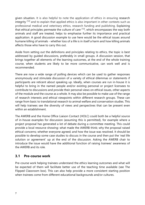given situation. It is also helpful to note the application of ethics in ensuring research integrity  $[12]$  and to explain that applied ethics is also important in other contexts such as professional medical and veterinary ethics, research funding and publishing. Explaining that ethical principles permeate the culture of care [13], which encompasses the way both animals and staff are treated, helps to emphasise further its importance and practical application. A good discussion example to use here would be the ethical issues around humane killing of animals - whether loss of a life is in itself a harm and how killing animals affects those who have to carry this out.

Aside from setting out the definitions and principles relating to ethics, the topic is best addressed by guided discussions, preferably in small groups. A discussion session, that brings together all elements of the learning outcomes, at the end of the whole training course, when students are likely to be more communicative, can work well and is recommended.

There are now a wide range of polling devices which can be used to gather responses anonymously and stimulate discussion of a variety of ethical dilemmas or statements if participants are reticent about speaking up. Ideally, when courses are run in-house it is helpful to bring in the named people and/or existing personal or project licensees to contribute to discussions and provide their personal views on ethical issues, other aspects of the module and the course as a whole. It may also be possible to make use of the range of research interests and ethical viewpoints within different research groups. These can range from basic to translational research to animal welfare and conservation studies. This will help trainees see the diversity of views and perspectives that can be present even within an establishment.

The AWERB and the Home Office Liaison Contact (HOLC) could both be a helpful source of in-house examples for discussion (assuming this is permitted), for example where a project proposal has generated a lot of debate during a committee meeting. This could provide a local resource showing: what made the AWERB think; why the proposal raised ethical concerns; whether everyone agreed; and how the issue was resolved. It should be possible to develop some case studies to discuss in the course and then put the 'real life solution or agreement' up at the end of the discussion. Asking the AWERB chair to introduce the issue would have the additional function of raising trainees' awareness of the AWERB and its role.

## **3.1 Pre-course work**

Pre-course work helping trainees understand the ethics learning outcomes and what will be expected of them will facilitate better use of the teaching time available (see The Flipped Classroom box). This can also help provide a more consistent starting position when trainees come from different educational backgrounds and/or cultures.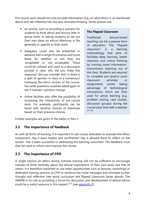Pre-course work should not only provide information (e.g. on what ethics is, as mentioned above and see reference list) but also stimulate thinking. Some options are:

- an activity, such as providing a scenario for students to think about and discuss later in group work; or asking students to set out their own ideas on ethical dilemmas in life generally or specific to their work;
- delegates could also be presented in advance with a range of scenarios and score these for whether or not they are 'acceptable' or 'not acceptable'. These could be collated and used as a discussion prompt in class: why did you make this response? did you consider this? is there is a split of opinion in class or a consensus? Following the ethics section of the course, the same questions could be asked again to see if trainees' opinions change;
- online facilities also offer the possibility of increasing the interactivity of pre-course work. For example, participants can be faced with iterative choices of dilemmas based on their previous choices.

### **The Flipped Classroom**

Traditional lecture-based teaching can be a passive form of education. The "Flipped classroom" is a learning methodology that aims to facilitate deep learning, better retention and critical thinking by moving some informationtransmission teaching out of the class. Students are required to complete pre (and/or post) classroom activities or assignments (some taking advantage of technological innovations) which are then used for active learning (e.g. problem solving, case studies, discussion groups) during the crucial class time with a teacher [14-16] .

Further examples are given in the tables in Part 2.

## **3.2 The importance of feedback**

 As with all forms of training, it is important to ask course attendees to evaluate the ethics component. Has it been helpful and worthwhile? Has it allowed them to reflect on the issues? Has it been successful in addressing the learning outcomes? The feedback must then be used to inform and improve the course.

# **3.3 The importance of CPD**

A single session on ethics during licensee training will not be sufficient to encourage trainees to think routinely about the ethical implications of their own work and that of others. It is therefore important to use other opportunities such as lectures, workshops or dedicated training sessions as CPD to reinforce the initial messages and stimulate further thought and reflection (see spiral curriculum and flipped classroom boxes above). The AWERB in its role as providing a forum for discussion and development of ethical advice could be a useful resource in this respect  $[17]$  (see appendix 2).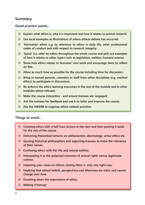# **Summary**

### **Good practice points…**

- $\odot$  Explain what ethics is, why it is important and how it relates to animal research.
- $\odot$  Use local examples as illustrations of where ethical debate has occurred.
- $\odot$  'Normalise' ethics e.g. by reference to ethics in daily life, other professional **codes of conduct and with respect to research integrity.**
- $\odot$  'Spiral' (i.e. refer to) ethics throughout the whole course and pick out examples **of how it relates to other topics such as legislation, welfare, humane science.**
- $\odot$  Show how ethics relates to licensees' own work and encourage them to reflect **on this.**
- $\odot$  Allow as much time as possible for the course including time for discussion.
- $\odot$  **Bring in named persons, scientists or staff from other disciplines (e.g. medical ethics) to participate in discussions.**
- $\odot$  Re-enforce the ethics learning outcomes in the rest of the module and in other **modules where relevant.**
- $\odot$  Make the course interactive and ensure trainees are 'engaged'.
- $\odot$  Ask the trainees for feedback and use it to tailor and improve the course.
- $\odot$  Ask the AWERB to organise ethics-related activities.

### **Things to avoid…**

- **Covering ethics with a half hour lecture at the start and then putting it aside for the rest of the course.**
- **Delivering theoretical lectures on utilitarianism, deontology, virtue ethics etc.**
- **Quoting historical philosophers and expecting trainees to know the relevance of their names.**
- **Confusing ethics with the 3Rs and animal welfare.**
- **Interpreting it as the polarised extremes of animal rights versus legitimate science.**
- **Imposing your views on others; stating there is 'only one right way.'**
- **Implying that ethical beliefs, perspectives and dilemmas are static and cannot change over time.**
- **Dumbing down the importance of ethics.**
- **Making it boring!**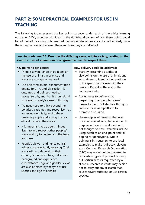# **PART 2: SOME PRACTICAL EXAMPLES FOR USE IN TEACHING**

The following tables present the key points to cover under each of the ethics learning outcomes (LOs), together with ideas in the right-hand column of how these points could be addressed. Learning outcomes addressing similar issues are coloured similarly since there may be overlap between them and how they are delivered.

**Learning outcome 2.1: Describe the differing views, within society, relating to the scientific uses of animals and recognise the need to respect these.**

### **Key points to get across:**

- There is a wide range of opinions on the use of animals in science and views are now quite nuanced.
- The polarised animal experimentation debate (pro- vs anti-vivisection) is outdated and trainees need to recognise this, and that it is unhelpful to present society's views in this way.
- Trainees need to think beyond the polarised extremes and recognise that focussing on this type of debate prevents people addressing the real ethical issues in their work.
- It is important to be open-minded, listen to and respect other peoples' views and try to understand the basis for these.
- People's views and hence ethical values - are constantly evolving. Their views will also depend on their country of origin, culture, individual background and experience, circumstances, age and gender. Views are also affected by the type of use, species and age of animals.

- Start by presenting a series of viewpoints on the use of animals and ask trainees to identify their position in the spectrum of views with their reasons. Repeat at the end of the course/module.
- Ask trainees to define what 'respecting other peoples' views' means to them. Collate their thoughts and use these as a platform to promote discussion.
- Use examples of research that was once considered acceptable (either its purpose or how it was done) but is not thought so now. Examples include using death as an end-point and tail tipping for genotyping. Where training is in-house, try to use local examples to make it directly relevant e.g. a Contract Research Organisation (CRO) may no longer be prepared to test certain types of product or carry out particular tests requested by a client; a research institute may decide not to carry out any research that causes severe suffering or use certain species.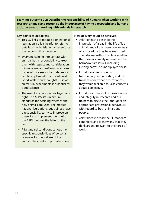**Learning outcome 2.2: Describe the responsibility of humans when working with research animals and recognise the importance of having a respectful and humane attitude towards working with animals in research.**

### **Key points to get across:**

- This LO links to module 1 on national legislation, so it is helpful to refer to details of the legislation to re-enforce the responsibility message.
- Everyone coming into contact with animals has a responsibility to treat them with respect and consideration, minimise use and suffering and raise issues of concern so that safeguards can be implemented or maintained. Good welfare and thoughtful use of animals in experiments is essential for good science.
- The use of animals is a privilege not a right. The ASPA sets minimum standards for deciding whether and how animals are used (see module 1: national legislation), but trainees have a responsibility to try to improve on these: i.e. to implement the *spirit* of the ASPA not just the letter of the law.
- PIL standard conditions set out the specific responsibilities of personal licensees for the welfare of the animals they perform procedures on.

- Ask trainees to describe their impression of a day in the life of lab animals and of the impact on animals of a procedure they have seen used. Then discuss within the class whether they have accurately represented the harms/welfare issues, including lifelong harms, or underplayed these.
- Introduce a discussion on transparency and reporting and ask trainees under what circumstances they would feel able to raise concerns about a colleague.
- Introduce concept of professionalism and integrity in research and ask trainees to discuss their thoughts on appropriate professional behaviours with regard to both animals and people.
- Ask trainees to read the PIL standard conditions and identify any that they think are *not* relevant to their area of work.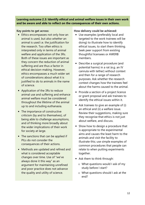**Learning outcome 2.3: Identify ethical and animal welfare issues in their own work and be aware and able to reflect on the consequences of their own actions.**

### **Key points to get across:**

- Ethics encompasses not only *how* an animal is used, but also *whether* an animal is used i.e. the justification for the research. Too often ethics is interpreted only in terms of animal welfare and application of the 3Rs. Both of these issues are important as they concern the reduction of animal suffering and are thus a factor in ethical decision-making. However, ethics encompasses a much wider set of considerations about what it is iustified to do to animals in the name of science.
- Application of the 3Rs to reduce animal use and suffering and enhance animal welfare must be considered throughout the lifetime of the animal up to and including euthanasia.
- The importance of constructive criticism (by and to themselves), of being able to challenge assumptions, and of thinking more broadly about the wider implications of their work for society at large.
- The sanctions that can be applied if PILs do not consider the consequences of their actions.
- Methods are updated and refined and what is considered acceptable changes over time. Use of "we've always done it this way" as an argument for maintaining unrefined and poor practice does not advance the quality and utility of science.

- Use examples (preferably local and targeted to the work trainees will be doing) to illustrate how to identify ethical issues, to start them thinking. Seek peer support from existing thoughtful licensees or AWERB members.
- Describe a surgical procedure (and potential harms) in a rat (e.g. an IV cannula with tether) without context and then for a range of research purposes. Ask whether the research context changes how the trainees feel about the harms caused to the animal.
- Provide a section of a project licence or grant proposal and ask trainees to identify the ethical issues within it.
- Ask trainees to give an example of (i) an ethical and (ii) a welfare issue. Review their suggestions, making sure they recognise that ethics is not just about welfare, and discuss.
- Show how to design a procedure that is appropriate to the experimental aims and causes the least harm to the animals and visit the facility to illustrate this; use simple examples of common procedures that people can relate to when putting experiments together.
- Ask them to think through:
	- o What questions would I ask of my study before I start?
	- o What questions should I ask at the end?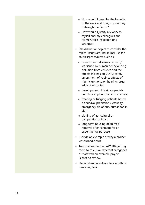- o How would I describe the benefits of the work and how/why do they outweigh the harms?
- o How would I justify my work to myself and my colleagues, the Home Office Inspector, or a stranger?
- Use discussion topics to consider the ethical issues around animal use for studies/procedures such as:
	- o research into diseases caused / worsened by human behaviour e.g. pollution from vehicles and the effects this has on COPD; safety assessment of vaping; effects of night club noise on hearing; drug addiction studies;
	- o development of brain organoids and their implantation into animals;
	- o treating or triaging patients based on survival predictions (casualty, emergency situations, humanitarian aid);
	- o cloning of agricultural or competition animals;
	- o long term housing of animals; removal of enrichment for an experimental purpose.
- Provide an example of why a project was turned down.
- Turn trainees into an AWERB getting them to role-play different categories of staff with an example project licence to review.
- Use a dilemma website tool or ethical reasoning tool.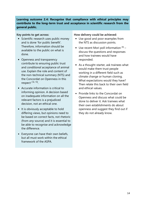**Learning outcome 2.4: Recognise that compliance with ethical principles may contribute to the long-term trust and acceptance in scientific research from the general public.**

### **Key points to get across:**

- Scientific research uses public money and is done 'for public benefit'. Therefore, information should be available to the public on what is done.
- Openness and transparency contribute to ensuring public trust and *conditional* acceptance of animal use. Explain the role and content of the non-technical summary (NTS) and the Concordat on Openness in this respect <sup>[18, 19]</sup>.
- Accurate information is critical to informing opinion. A decision based on inadequate information on all the relevant factors is a prejudiced decision, not an ethical one.
- It is obviously acceptable to hold differing views, but opinions need to be based on correct facts, not rhetoric (from *any* source) and it is essential to be able to recognise and acknowledge the difference.
- Everyone can have their own beliefs, but all must work within the ethical framework of the ASPA.

- Use good and poor examples from the NTS as discussion points.
- $\bullet$  Use recent Mori poll information  $[9]$  discuss the questions and responses and how trainees would have responded.
- As a thought-starter, ask trainees what would make them trust people working in a different field such as climate change or human cloning. What expectations would they have? Then relate this back to their own field and ethical values.
- Provide links to the Concordat on Openness and discuss what could be done to deliver it. Ask trainees what their own establishments do about openness and suggest they find out if they do not already know.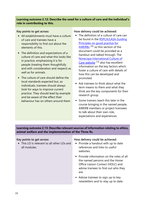### **Learning outcome 2.12: Describe the need for a culture of care and the individual's role in contributing to this.**

### **Key points to get across:**

- All establishments must have a culture of care and trainees have a responsibility to find out about the elements of this.
- The definition and expectations of a culture of care and what this looks like in practice, emphasising it is for people (treating them thoughtfully and with consideration and respect) as well as for animals.
- The culture of care should define the local standards expected but, as individuals, trainees should always look for ways to improve current practice. They should lead by example and be aware of the effect their behaviour has on others around them.

### **How delivery could be achieved:**

- The definition of a culture of care can be found in the RSPCA/LASA Guiding Principles on good practice for AWERBs [20] so this section of the document could be provided as a handout and talked through. The Norecopa International Culture of Care website [13] also has excellent information on the key factors which foster a culture of care with details of how this can be developed and promoted.
- Ask trainees to think about what the term means to them and what they think are the key components for their research group.
- Some trainers teach this later in the course bringing in the named people, AWERB members or project licensees to talk about their own role, expectations and experiences.

**Learning outcome 2.13: Describe relevant sources of information relating to ethics, animal welfare and the implementation of the Three Rs.**

### **Key points to get across:**

• This LO is relevant to all other LOs and all modules.

- Provide a handout with up to date references and links to useful websites.
- Provide information on the roles of all the named persons and the Home Office Liaison Contact (HOLC) and advise trainees to find out who they are.
- Advise trainees to sign up to key newsletters and to stay up to date.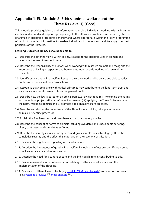# **Appendix 1: EU Module 2: Ethics, animal welfare and the Three Rs (level 1) [Core]**

This module provides guidance and information to enable individuals working with animals to identify, understand and respond appropriately, to the ethical and welfare issues raised by the use of animals in scientific procedures generally and, where appropriate, within their own programme of work. It provides information to enable individuals to understand and to apply the basic principles of the Three Rs.

### **Learning Outcomes Trainees should be able to:**

- 2.1. Describe the differing views, within society, relating to the scientific uses of animals and recognise the need to respect these.
- 2.2. Describe the responsibility of humans when working with research animals and recognise the importance of having a respectful and humane attitude towards working with animals in research.
- 2.3. Identify ethical and animal welfare issues in their own work and be aware and able to reflect on the consequences of their own actions.
- 2.4. Recognise that compliance with ethical principles may contribute to the long-term trust and acceptance in scientific research from the general public.
- 2.5. Describe how the law is based on an ethical framework which requires 1) weighing the harms and benefits of projects (the harm/benefit assessment) 2) applying the Three Rs to minimise the harm, maximise benefits and 3) promote good animal welfare practices.
- 2.6. Describe and discuss the importance of the Three Rs as a guiding principle in the use of animals in scientific procedures.
- 2.7. Explain the Five Freedoms and how these apply to laboratory species
- 2.8. Describe the concept of harms to animals including avoidable and unavoidable suffering, direct, contingent and cumulative suffering
- 2.9. Describe the severity classification system, and give examples of each category. Describe cumulative severity and the effect this may have on the severity classification.
- 2.10. Describe the regulations regarding re-use of animals.
- 2.11. Describe the importance of good animal welfare including its effect on scientific outcomes as well as for societal and moral reasons.
- 2.12. Describe the need for a culture of care and the individual's role in contributing to this.
- 2.13. Describe relevant sources of information relating to ethics, animal welfare and the implementation of the Three Rs.
- 2.14. Be aware of different search tools (e.g. EURL ECVAM Search Guide) and methods of search (e.g. <u>systematic reviews [21], meta analysis</u> [22]).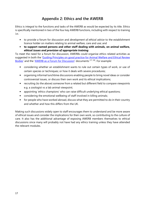# **Appendix 2: Ethics and the AWERB**

Ethics is integral to the functions and tasks of the AWERB as would be expected by its title. Ethics is specifically mentioned in two of the four key AWERB functions, including with respect to training i.e.:

- to provide a forum for discussion and *development of ethical advice* to the establishment licence holder on matters relating to animal welfare, care and use; and
- **to support named persons and other staff dealing with animals, on animal welfare,**  *ethical issues and provision of appropriate training*.

To meet the need for a forum for discussion, AWERBs could organise ethics related activities as suggested in both the 'Guiding Principles on good practice for Animal Welfare and Ethical Review Bodies' and the 'AWERB as a Forum for Discussion' documents [17, 20]. For example:

- considering whether an establishment wants to rule out certain types of work, or use of certain species or techniques; or how it deals with severe procedures;
- organising informal lunchtime discussions enabling people to bring novel ideas or consider controversial issues, or discuss their own work and its ethical implications;
- recruiting (to the above) someone from a related but different field to compare viewpoints e.g. a zoologist vs a lab animal viewpoint;
- appointing 'ethics champions' who can raise difficult underlying ethical questions;
- considering the emotional wellbeing of staff involved in killing animals;
- for people who have worked abroad, discuss what they are permitted to do in their country and whether and how this differs from the UK.

Making such discussions widely open to staff encourages them to understand and be more aware of ethical issues and consider the implications for their own work, so contributing to the culture of care. It also has the additional advantage of exposing AWERB members themselves to ethical discussions since many will probably not have had any ethics training unless they have attended the relevant modules.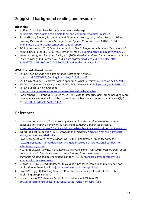# **Suggested background reading and resources**

### **Bioethics**

- Nuffield Council on Bioethics animal research web page: nuffieldbioethics.org/topics/animals-food-and-environment/animal-research
- Susan Gilbert, Gregory E. Kaebnick, and Thomas H. Murray, eds., *Animal Research Ethics: Evolving Views and Practices, Hastings Center Special Report* 42, no. 6 (2012): S1–S40. animalresearch.thehastingscenter.org/special-report/
- RC Simmons et al. (2018) *Bioethics and Animal Use in Programs of Research, Teaching, and Testing*. Boca Raton (FL): CRC Press/Taylor & Francis. pubmed.ncbi.nlm.nih.gov/29787201/
- Kraus, A. Lanny, and Renquist, David, eds. (2000) *Bioethics and the Use of Laboratory Animals: Ethics in Theory and Practice.* ACLAM. aclam.org/media/d9ecd55d-5edc-4fce-b0a4- 9ad6e7705da0/P-RsCw/ACLAM/Publications/Bioethics\_Kraus.pdf

### **AWERBs and ethical review**

- *RSPCA/LASA Guiding principles on good practice for AWERBs:* lasa.co.uk/PDF/AWERB\_Guiding\_Principles\_2015\_final.pdf
- *RSPCA Lay Members' Resource Book*, Appendix A: What is Ethics: tinyurl.com/RSPCALMRB
- RSPCA/LASA/LAVA/IAT meeting report: *Putting Ethics into the AWERB*: tinyurl.com/AWERB-UK2017 • *RSPCA Ethical Review webpages*.
- science.rspca.org.uk/sciencegroup/researchanimals/ethicalreview
- Röcklinsberg H, Gamborg C, Gjerris M. (2014) A case for integrity: gains from including more than animal welfare in animal ethics committee deliberations. *Laboratory Animals* 48(1):61- 71. doi: 10.1177/0023677213514220

# **References**

- 1. European Commission (2013) *A working document on the development of a common education and training framework to fulfil the requirements under the Directive.*  ec.europa.eu/environment/chemicals/lab\_animals/pdf/guidance/education\_training/en.pdf
- 2. World Medical Association (2013) *Declaration of Helsinki*. wma.net/what-we-do/medicalethics/declaration-of-helsinki/
- 3. Royal College of Veterinary Surgeons *UK Code of Conduct for Veterinary Surgeons*. rcvs.org.uk/setting-standards/advice-and-guidance/code-of-professional-conduct-forveterinary-surgeons/
- 4. NC3Rs/BBSRC/Defra/MRC/NERC/Royal Society/Wellcome Trust (2019) *Responsibility in the use of animals in bioscience research: expectations of the major research councils and charitable funding bodies, 3rd edition.* London: NC3Rs. nc3rs.org.uk/responsibility-useanimals-bioscience-research
- 5. S Jarvis, JEL Day, B Reed (undated) Ethical guidelines for research in animal science (for publication in *Animal*) animal-journal.eu/instructions-and-policies/
- 6. Boyd KM, Higgs R, Pinching AJ (eds) (1997) A new dictionary of medical ethics. BMJ Publishing group: London.
- 7. Home Office (2012) Animals (Scientific Procedures) Act 1986 (ASPA). gov.uk/government/publications/consolidated-version-of-aspa-1986